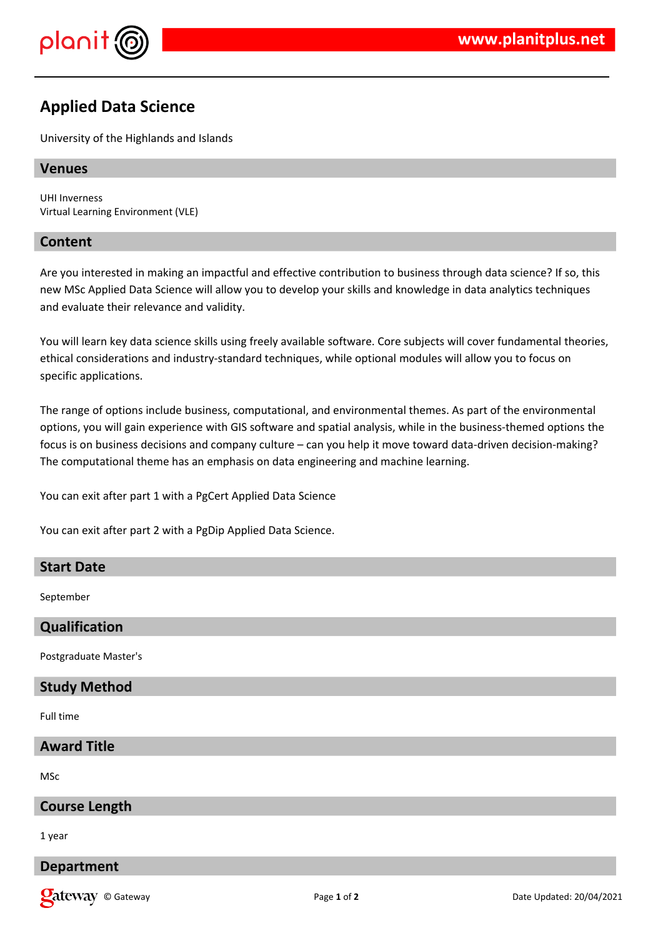

# **Applied Data Science**

University of the Highlands and Islands

# **Venues**

UHI Inverness Virtual Learning Environment (VLE)

#### **Content**

Are you interested in making an impactful and effective contribution to business through data science? If so, this new MSc Applied Data Science will allow you to develop your skills and knowledge in data analytics techniques and evaluate their relevance and validity.

You will learn key data science skills using freely available software. Core subjects will cover fundamental theories, ethical considerations and industry-standard techniques, while optional modules will allow you to focus on specific applications.

The range of options include business, computational, and environmental themes. As part of the environmental options, you will gain experience with GIS software and spatial analysis, while in the business-themed options the focus is on business decisions and company culture – can you help it move toward data-driven decision-making? The computational theme has an emphasis on data engineering and machine learning.

You can exit after part 1 with a PgCert Applied Data Science

You can exit after part 2 with a PgDip Applied Data Science.

# **Start Date**

September

# **Qualification**

Postgraduate Master's

# **Study Method**

Full time

# **Award Title**

MSc

#### **Course Length**

1 year

# **Department**